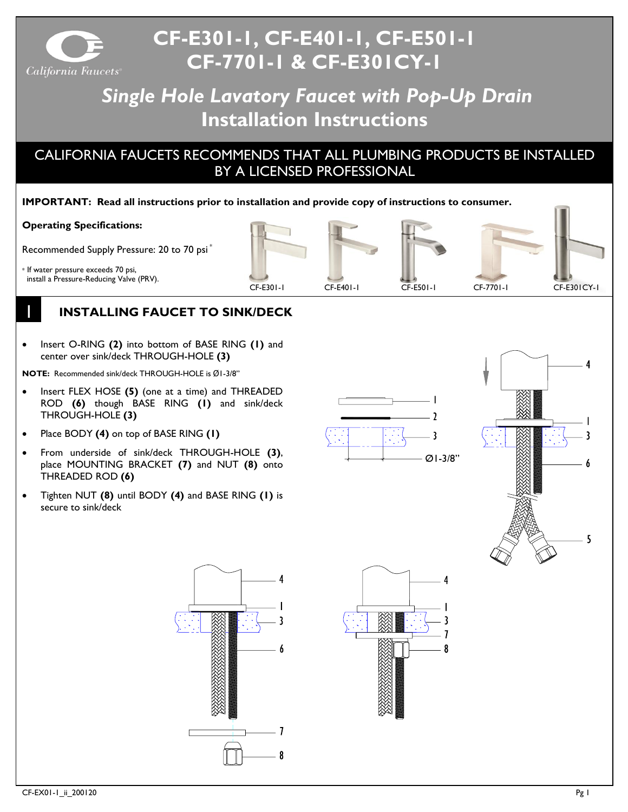

# **CF-E301-1, CF-E401-1, CF-E501-1 CF-7701-1 & CF-E301CY-1**

## *Single Hole Lavatory Faucet with Pop-Up Drain* **Installation Instructions**

## CALIFORNIA FAUCETS RECOMMENDS THAT ALL PLUMBING PRODUCTS BE INSTALLED BY A LICENSED PROFESSIONAL

#### **IMPORTANT: Read all instructions prior to installation and provide copy of instructions to consumer.**

#### **Operating Specifications:**

Recommended Supply Pressure: 20 to 70 psi \*

\* If water pressure exceeds 70 psi, install a Pressure-Reducing Valve (PRV).

1

## **INSTALLING FAUCET TO SINK/DECK**

• Insert O-RING **(2)** into bottom of BASE RING **(1)** and center over sink/deck THROUGH-HOLE **(3)**

**NOTE:** Recommended sink/deck THROUGH-HOLE is Ø1-3/8"

- Insert FLEX HOSE **(5)** (one at a time) and THREADED ROD **(6)** though BASE RING **(1)** and sink/deck THROUGH-HOLE **(3)**
- Place BODY **(4)** on top of BASE RING **(1)**
- From underside of sink/deck THROUGH-HOLE **(3)**, place MOUNTING BRACKET **(7)** and NUT **(8)** onto THREADED ROD **(6)**
- Tighten NUT **(8)** until BODY **(4)** and BASE RING **(1)** is secure to sink/deck



CF-E301-1 CF-E401-1 CF-E501-1 CF-7701-1 CF-E301CY-1